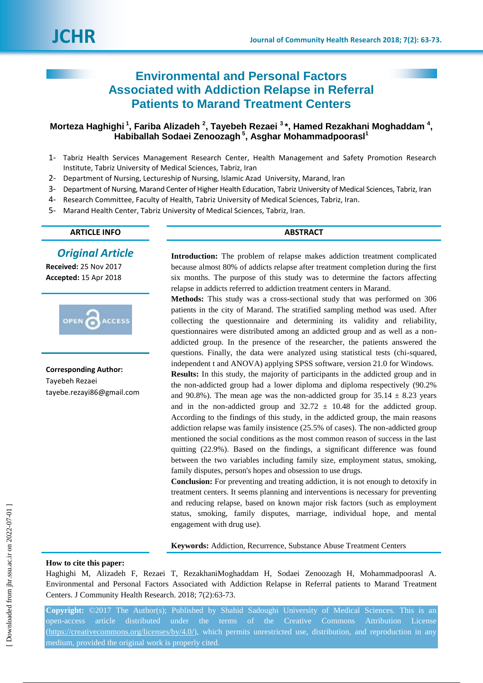# **Environmental and Personal Factors Associated with Addiction Relapse in Referral Patients to Marand Treatment Centers**

## **Morteza Haghighi <sup>1</sup> , Fariba Alizadeh <sup>2</sup> , Tayebeh Rezaei <sup>3</sup> \*, Hamed Rezakhani Moghaddam <sup>4</sup> , Habiballah Sodaei Zenoozagh <sup>5</sup> , [Asghar Mohammadpoorasl](javascript:void\(0\);)<sup>1</sup>**

- 1- Tabriz Health Services Management Research Center, Health Management and Safety Promotion Research Institute, Tabriz University of Medical Sciences, Tabriz, Iran
- 2- Department of Nursing, Lectureship of Nursing, lslamic Azad University, Marand, lran
- 3- Department of Nursing, Marand Center of Higher Health Education, Tabriz University of Medical Sciences, Tabriz, Iran
- 4- Research Committee, Faculty of Health, Tabriz University of Medical Sciences, Tabriz, Iran.
- 5- Marand Health Center, Tabriz University of Medical Sciences, Tabriz, Iran.

## **ARTICLE INFO ABSTRACT**

## *Original Article*

**Received:** 25 Nov 2017 **Accepted:** 15 Apr 2018



**Corresponding Author:** Tayebeh Rezaei tayebe.rezayi86@gmail.com

**Introduction:** The problem of relapse makes addiction treatment complicated because almost 80% of addicts relapse after treatment completion during the first six months. The purpose of this study was to determine the factors affecting relapse in addicts referred to addiction treatment centers in Marand.

**Methods:** This study was a cross-sectional study that was performed on 306 patients in the city of Marand. The stratified sampling method was used. After collecting the questionnaire and determining its validity and reliability, questionnaires were distributed among an addicted group and as well as a nonaddicted group. In the presence of the researcher, the patients answered the questions. Finally, the data were analyzed using statistical tests (chi-squared, independent t and ANOVA) applying SPSS software, version 21.0 for Windows.

**Results:** In this study, the majority of participants in the addicted group and in the non-addicted group had a lower diploma and diploma respectively (90.2% and 90.8%). The mean age was the non-addicted group for  $35.14 \pm 8.23$  years and in the non-addicted group and  $32.72 \pm 10.48$  for the addicted group. According to the findings of this study, in the addicted group, the main reasons addiction relapse was family insistence (25.5% of cases). The non-addicted group mentioned the social conditions as the most common reason of success in the last quitting (22.9%). Based on the findings, a significant difference was found between the two variables including family size, employment status, smoking, family disputes, person's hopes and obsession to use drugs.

**Conclusion:** For preventing and treating addiction, it is not enough to detoxify in treatment centers. It seems planning and interventions is necessary for preventing and reducing relapse, based on known major risk factors (such as employment status, smoking, family disputes, marriage, individual hope, and mental engagement with drug use).

**Keywords:** Addiction, Recurrence, Substance Abuse Treatment Centers

## **How to cite this paper:**

Haghighi M, Alizadeh F, Rezaei T, RezakhaniMoghaddam H, Sodaei Zenoozagh H, Mohammadpoorasl A. Environmental and Personal Factors Associated with Addiction Relapse in Referral patients to Marand Treatment Centers. J Community Health Research. 2018; 7(2):63-73.

**Copyright:** ©2017 The Author(s); Published by Shahid Sadoughi University of Medical Sciences. This is an open-access article distributed under the terms of the Creative Commons Attribution License [\(https://creativecommons.org/licenses/by/4.0/\)](https://creativecommons.org/licenses/by/4.0/), which permits unrestricted use, distribution, and reproduction in any medium, provided the original work is properly cited.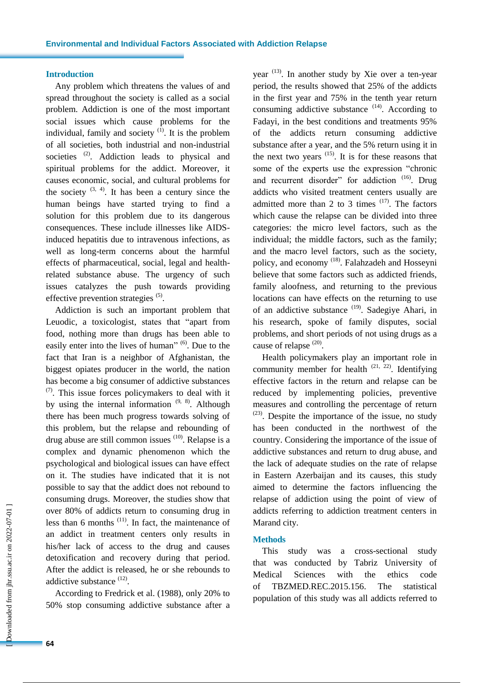## **Introduction**

Any problem which threatens the values of and spread throughout the society is called as a social problem. Addiction is one of the most important social issues which cause problems for the individual, family and society  $(1)$ . It is the problem of all societies, both industrial and non-industrial societies <sup>(2)</sup>. Addiction leads to physical and spiritual problems for the addict. Moreover, it causes economic, social, and cultural problems for the society  $(3, 4)$ . It has been a century since the human beings have started trying to find a solution for this problem due to its dangerous consequences. These include illnesses like AIDSinduced hepatitis due to intravenous infections, as well as long-term concerns about the harmful effects of pharmaceutical, social, legal and healthrelated substance abuse. The urgency of such issues catalyzes the push towards providing effective prevention strategies <sup>(5)</sup>.

Addiction is such an important problem that Leuodic, a toxicologist, states that "apart from food, nothing more than drugs has been able to easily enter into the lives of human" <sup>(6)</sup>. Due to the fact that Iran is a neighbor of Afghanistan, the biggest opiates producer in the world, the nation has become a big consumer of addictive substances  $(7)$ . This issue forces policymakers to deal with it by using the internal information  $(9, 8)$ . Although there has been much progress towards solving of this problem, but the relapse and rebounding of drug abuse are still common issues  $(10)$ . Relapse is a complex and dynamic phenomenon which the psychological and biological issues can have effect on it. The studies have indicated that it is not possible to say that the addict does not rebound to consuming drugs. Moreover, the studies show that over 80% of addicts return to consuming drug in less than 6 months  $(11)$ . In fact, the maintenance of an addict in treatment centers only results in his/her lack of access to the drug and causes detoxification and recovery during that period. After the addict is released, he or she rebounds to addictive substance <sup>(12)</sup>.

According to Fredrick et al. (1988), only 20% to 50% stop consuming addictive substance after a

year  $(13)$ . In another study by Xie over a ten-year period, the results showed that 25% of the addicts in the first year and 75% in the tenth year return consuming addictive substance  $(14)$ . According to Fadayi, in the best conditions and treatments 95% of the addicts return consuming addictive substance after a year, and the 5% return using it in the next two years  $(15)$ . It is for these reasons that some of the experts use the expression "chronic and recurrent disorder" for addiction <sup>(16)</sup>. Drug addicts who visited treatment centers usually are admitted more than 2 to 3 times  $(17)$ . The factors which cause the relapse can be divided into three categories: the micro level factors, such as the individual; the middle factors, such as the family; and the macro level factors, such as the society, policy, and economy <sup>(18)</sup>. Falahzadeh and Hosseyni believe that some factors such as addicted friends, family aloofness, and returning to the previous locations can have effects on the returning to use of an addictive substance <sup>(19)</sup>. Sadegiye Ahari, in his research, spoke of family disputes, social problems, and short periods of not using drugs as a cause of relapse  $^{(20)}$ .

Health policymakers play an important role in community member for health  $(21, 22)$ . Identifying effective factors in the return and relapse can be reduced by implementing policies, preventive measures and controlling the percentage of return  $(23)$ . Despite the importance of the issue, no study has been conducted in the northwest of the country. Considering the importance of the issue of addictive substances and return to drug abuse, and the lack of adequate studies on the rate of relapse in Eastern Azerbaijan and its causes, this study aimed to determine the factors influencing the relapse of addiction using the point of view of addicts referring to addiction treatment centers in Marand city.

## **Methods**

This study was a cross-sectional study that was conducted by Tabriz University of Medical Sciences with the ethics code of TBZMED.REC.2015.156. The statistical population of this study was all addicts referred to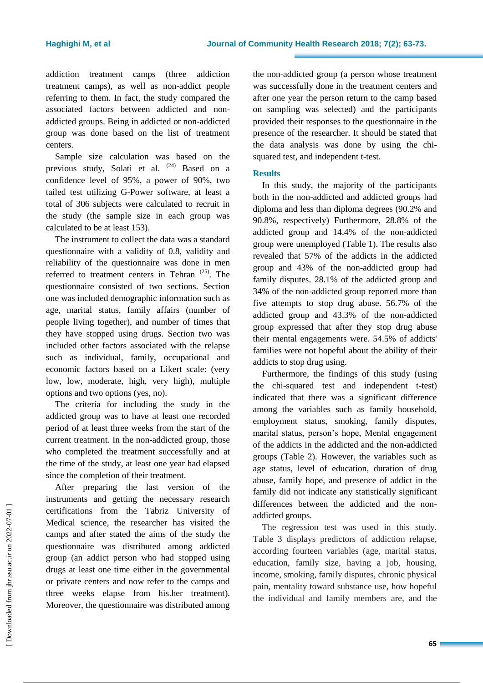addiction treatment camps (three addiction treatment camps), as well as non-addict people referring to them. In fact, the study compared the associated factors between addicted and nonaddicted groups. Being in addicted or non-addicted group was done based on the list of treatment centers.

Sample size calculation was based on the previous study, Solati et al.  $(24)$  Based on a confidence level of 95%, a power of 90%, two tailed test utilizing G-Power software, at least a total of 306 subjects were calculated to recruit in the study (the sample size in each group was calculated to be at least 153).

The instrument to collect the data was a standard questionnaire with a validity of 0.8, validity and reliability of the questionnaire was done in men referred to treatment centers in Tehran  $(25)$ . The questionnaire consisted of two sections. Section one was included demographic information such as age, marital status, family affairs (number of people living together), and number of times that they have stopped using drugs. Section two was included other factors associated with the relapse such as individual, family, occupational and economic factors based on a Likert scale: (very low, low, moderate, high, very high), multiple options and two options (yes, no).

The criteria for including the study in the addicted group was to have at least one recorded period of at least three weeks from the start of the current treatment. In the non-addicted group, those who completed the treatment successfully and at the time of the study, at least one year had elapsed since the completion of their treatment.

After preparing the last version of the instruments and getting the necessary research certifications from the Tabriz University of Medical science, the researcher has visited the camps and after stated the aims of the study the questionnaire was distributed among addicted group (an addict person who had stopped using drugs at least one time either in the governmental or private centers and now refer to the camps and three weeks elapse from his.her treatment). Moreover, the questionnaire was distributed among the non-addicted group (a person whose treatment was successfully done in the treatment centers and after one year the person return to the camp based on sampling was selected) and the participants provided their responses to the questionnaire in the presence of the researcher. It should be stated that the data analysis was done by using the chisquared test, and independent t-test.

## **Results**

In this study, the majority of the participants both in the non-addicted and addicted groups had diploma and less than diploma degrees (90.2% and 90.8%, respectively) Furthermore, 28.8% of the addicted group and 14.4% of the non-addicted group were unemployed (Table 1). The results also revealed that 57% of the addicts in the addicted group and 43% of the non-addicted group had family disputes. 28.1% of the addicted group and 34% of the non-addicted group reported more than five attempts to stop drug abuse. 56.7% of the addicted group and 43.3% of the non-addicted group expressed that after they stop drug abuse their mental engagements were. 54.5% of addicts' families were not hopeful about the ability of their addicts to stop drug using.

Furthermore, the findings of this study (using the chi-squared test and independent t-test) indicated that there was a significant difference among the variables such as family household, employment status, smoking, family disputes, marital status, person's hope, Mental engagement of the addicts in the addicted and the non-addicted groups (Table 2). However, the variables such as age status, level of education, duration of drug abuse, family hope, and presence of addict in the family did not indicate any statistically significant differences between the addicted and the nonaddicted groups.

The regression test was used in this study. Table 3 displays predictors of addiction relapse, according fourteen variables (age, marital status, education, family size, having a job, housing, income, smoking, family disputes, chronic physical pain, mentality toward substance use, how hopeful the individual and family members are, and the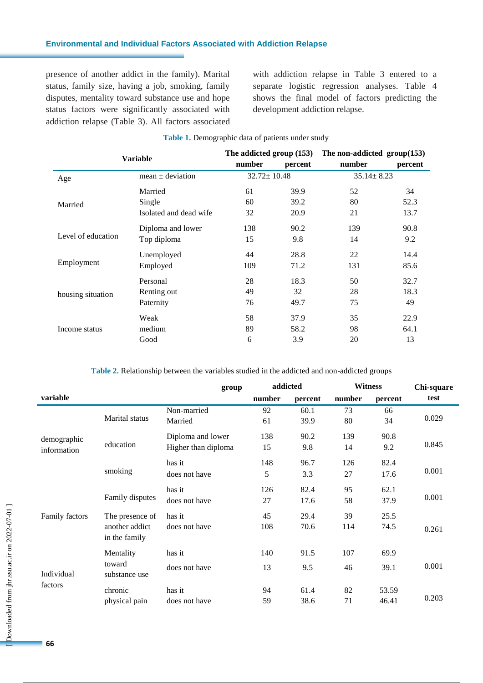## **Environmental and Individual Factors Associated with Addiction Relapse**

presence of another addict in the family). Marital status, family size, having a job, smoking, family disputes, mentality toward substance use and hope status factors were significantly associated with addiction relapse (Table 3). All factors associated with addiction relapse in Table 3 entered to a separate logistic regression analyses. Table 4 shows the final model of factors predicting the development addiction relapse.

| Variable           |                        | The addicted group (153) |                   | The non-addicted $group(153)$ |                  |  |
|--------------------|------------------------|--------------------------|-------------------|-------------------------------|------------------|--|
|                    |                        | number                   | percent           | number                        | percent          |  |
| Age                | mean $\pm$ deviation   |                          | $32.72 \pm 10.48$ |                               | $35.14 \pm 8.23$ |  |
|                    | Married                | 61                       | 39.9              | 52                            | 34               |  |
| Married            | Single                 | 60                       | 39.2              | 80                            | 52.3             |  |
|                    | Isolated and dead wife | 32                       | 20.9              | 21                            | 13.7             |  |
| Level of education | Diploma and lower      | 138                      | 90.2              | 139                           | 90.8             |  |
|                    | Top diploma            | 15                       | 9.8               | 14                            | 9.2              |  |
|                    | Unemployed             | 44                       | 28.8              | 22                            | 14.4             |  |
| Employment         | Employed               | 109                      | 71.2              | 131                           | 85.6             |  |
| housing situation  | Personal               | 28                       | 18.3              | 50                            | 32.7             |  |
|                    | Renting out            | 49                       | 32                | 28                            | 18.3             |  |
|                    | Paternity              | 76                       | 49.7              | 75                            | 49               |  |
|                    | Weak                   | 58                       | 37.9              | 35                            | 22.9             |  |
| Income status      | medium                 | 89                       | 58.2              | 98                            | 64.1             |  |
|                    | Good                   | 6                        | 3.9               | 20                            | 13               |  |

## **Table 1.** Demographic data of patients under study

**Table 2.** Relationship between the variables studied in the addicted and non-addicted groups

|                       |                                 | group               | addicted |         | <b>Witness</b> |         | Chi-square |
|-----------------------|---------------------------------|---------------------|----------|---------|----------------|---------|------------|
| variable              |                                 |                     | number   | percent | number         | percent | test       |
|                       | Marital status                  | Non-married         | 92       | 60.1    | 73             | 66      | 0.029      |
|                       |                                 | Married             | 61       | 39.9    | 80             | 34      |            |
| demographic           | education                       | Diploma and lower   | 138      | 90.2    | 139            | 90.8    |            |
| information           |                                 | Higher than diploma | 15       | 9.8     | 14             | 9.2     | 0.845      |
|                       |                                 | has it              | 148      | 96.7    | 126            | 82.4    | 0.001      |
|                       | smoking                         | does not have       | 5        | 3.3     | 27             | 17.6    |            |
|                       | Family disputes                 | has it              | 126      | 82.4    | 95             | 62.1    | 0.001      |
|                       |                                 | does not have       | 27       | 17.6    | 58             | 37.9    |            |
| Family factors        | The presence of                 | has it              | 45       | 29.4    | 39             | 25.5    |            |
|                       | another addict<br>in the family | does not have       | 108      | 70.6    | 114            | 74.5    | 0.261      |
| Individual<br>factors | Mentality                       | has it              | 140      | 91.5    | 107            | 69.9    |            |
|                       | toward<br>substance use         | does not have       | 13       | 9.5     | 46             | 39.1    | 0.001      |
|                       | chronic                         | has it              | 94       | 61.4    | 82             | 53.59   |            |
|                       | physical pain                   | does not have       | 59       | 38.6    | 71             | 46.41   | 0.203      |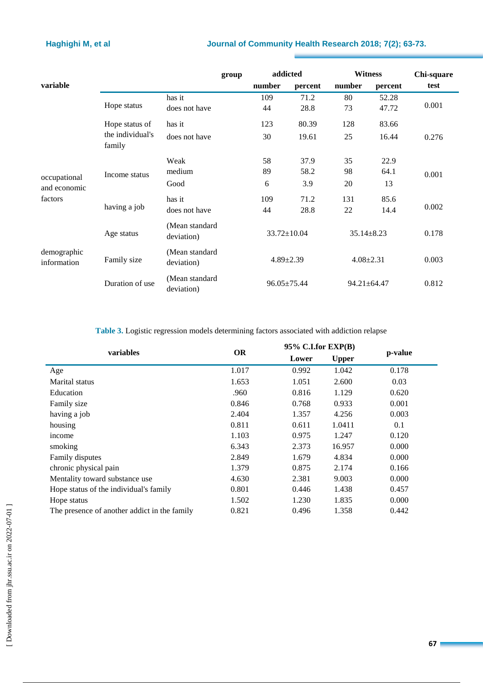## **Haghighi M, et al Journal of Community Health Research 2018; 7(2); 63-73.**

|                                         |                                             | group                        |  | addicted          |         | <b>Witness</b>    |         | Chi-square |  |
|-----------------------------------------|---------------------------------------------|------------------------------|--|-------------------|---------|-------------------|---------|------------|--|
| variable                                |                                             |                              |  | number            | percent | number            | percent | test       |  |
|                                         |                                             | has it                       |  | 109               | 71.2    | 80                | 52.28   |            |  |
|                                         | Hope status                                 | does not have                |  | 44                | 28.8    | 73                | 47.72   | 0.001      |  |
|                                         | Hope status of                              | has it                       |  | 123               | 80.39   | 128               | 83.66   |            |  |
|                                         | the individual's<br>family                  | does not have                |  | 30                | 19.61   | 25                | 16.44   | 0.276      |  |
|                                         |                                             | Weak                         |  | 58                | 37.9    | 35                | 22.9    |            |  |
| occupational<br>and economic<br>factors | Income status                               | medium                       |  | 89                | 58.2    | 98                | 64.1    | 0.001      |  |
|                                         |                                             | Good                         |  | 6                 | 3.9     | 20                | 13      |            |  |
|                                         | having a job                                | has it                       |  | 109               | 71.2    | 131               | 85.6    | 0.002      |  |
|                                         |                                             | does not have                |  | 44                | 28.8    | 22                | 14.4    |            |  |
| demographic<br>information              | Age status                                  | (Mean standard<br>deviation) |  | $33.72 \pm 10.04$ |         | $35.14 \pm 8.23$  |         | 0.178      |  |
|                                         | (Mean standard<br>Family size<br>deviation) |                              |  | $4.89 \pm 2.39$   |         | $4.08 \pm 2.31$   |         | 0.003      |  |
|                                         | Duration of use                             | (Mean standard<br>deviation) |  | 96.05±75.44       |         | $94.21 \pm 64.47$ |         | 0.812      |  |

**Table 3.** Logistic regression models determining factors associated with addiction relapse

|                                              |           | $95\%$ C.I.for EXP(B) |              | p-value |  |
|----------------------------------------------|-----------|-----------------------|--------------|---------|--|
| variables                                    | <b>OR</b> | Lower                 | <b>Upper</b> |         |  |
| Age                                          | 1.017     | 0.992                 | 1.042        | 0.178   |  |
| Marital status                               | 1.653     | 1.051                 | 2.600        | 0.03    |  |
| Education                                    | .960      | 0.816                 | 1.129        | 0.620   |  |
| Family size                                  | 0.846     | 0.768                 | 0.933        | 0.001   |  |
| having a job                                 | 2.404     | 1.357                 | 4.256        | 0.003   |  |
| housing                                      | 0.811     | 0.611                 | 1.0411       | 0.1     |  |
| income                                       | 1.103     | 0.975                 | 1.247        | 0.120   |  |
| smoking                                      | 6.343     | 2.373                 | 16.957       | 0.000   |  |
| Family disputes                              | 2.849     | 1.679                 | 4.834        | 0.000   |  |
| chronic physical pain                        | 1.379     | 0.875                 | 2.174        | 0.166   |  |
| Mentality toward substance use               | 4.630     | 2.381                 | 9.003        | 0.000   |  |
| Hope status of the individual's family       | 0.801     | 0.446                 | 1.438        | 0.457   |  |
| Hope status                                  | 1.502     | 1.230                 | 1.835        | 0.000   |  |
| The presence of another addict in the family | 0.821     | 0.496                 | 1.358        | 0.442   |  |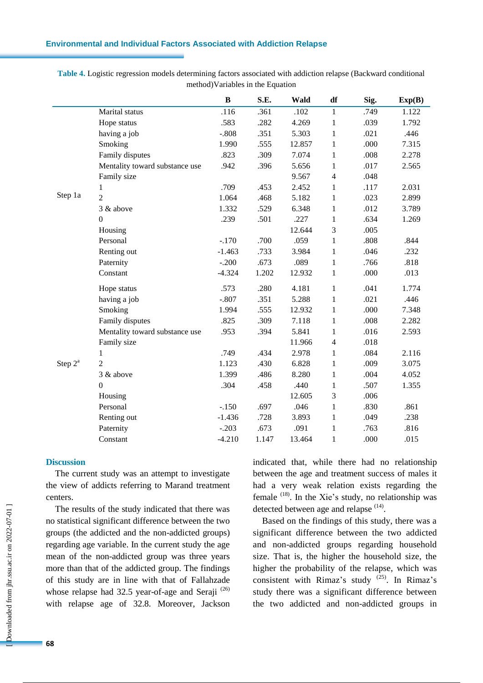## **Environmental and Individual Factors Associated with Addiction Relapse**

**Table 4.** Logistic regression models determining factors associated with addiction relapse (Backward conditional method)Variables in the Equation

|                     |                                | $\bf{B}$ | S.E.  | Wald   | df             | Sig. | Exp(B) |
|---------------------|--------------------------------|----------|-------|--------|----------------|------|--------|
|                     | Marital status                 | .116     | .361  | .102   | $\mathbf{1}$   | .749 | 1.122  |
|                     | Hope status                    | .583     | .282  | 4.269  | $\mathbf{1}$   | .039 | 1.792  |
|                     | having a job                   | $-.808$  | .351  | 5.303  | $\mathbf{1}$   | .021 | .446   |
|                     | Smoking                        | 1.990    | .555  | 12.857 | $\mathbf{1}$   | .000 | 7.315  |
|                     | Family disputes                | .823     | .309  | 7.074  | $\mathbf{1}$   | .008 | 2.278  |
|                     | Mentality toward substance use | .942     | .396  | 5.656  | $\mathbf{1}$   | .017 | 2.565  |
|                     | Family size                    |          |       | 9.567  | $\overline{4}$ | .048 |        |
|                     | 1                              | .709     | .453  | 2.452  | $\mathbf{1}$   | .117 | 2.031  |
| Step 1a             | $\overline{2}$                 | 1.064    | .468  | 5.182  | $\mathbf{1}$   | .023 | 2.899  |
|                     | 3 & above                      | 1.332    | .529  | 6.348  | $\mathbf{1}$   | .012 | 3.789  |
|                     | $\mathbf{0}$                   | .239     | .501  | .227   | $\mathbf{1}$   | .634 | 1.269  |
|                     | Housing                        |          |       | 12.644 | 3              | .005 |        |
|                     | Personal                       | $-.170$  | .700  | .059   | $\mathbf{1}$   | .808 | .844   |
|                     | Renting out                    | $-1.463$ | .733  | 3.984  | $\mathbf{1}$   | .046 | .232   |
|                     | Paternity                      | $-.200$  | .673  | .089   | $\mathbf{1}$   | .766 | .818   |
|                     | Constant                       | $-4.324$ | 1.202 | 12.932 | $\mathbf{1}$   | .000 | .013   |
|                     | Hope status                    | .573     | .280  | 4.181  | $\mathbf{1}$   | .041 | 1.774  |
|                     | having a job                   | $-.807$  | .351  | 5.288  | $\mathbf{1}$   | .021 | .446   |
|                     | Smoking                        | 1.994    | .555  | 12.932 | $\mathbf{1}$   | .000 | 7.348  |
|                     | Family disputes                | .825     | .309  | 7.118  | $\mathbf{1}$   | .008 | 2.282  |
|                     | Mentality toward substance use | .953     | .394  | 5.841  | $\mathbf{1}$   | .016 | 2.593  |
|                     | Family size                    |          |       | 11.966 | $\overline{4}$ | .018 |        |
|                     | 1                              | .749     | .434  | 2.978  | $\mathbf{1}$   | .084 | 2.116  |
| Step 2 <sup>a</sup> | $\overline{2}$                 | 1.123    | .430  | 6.828  | $\mathbf{1}$   | .009 | 3.075  |
|                     | 3 & above                      | 1.399    | .486  | 8.280  | $\mathbf{1}$   | .004 | 4.052  |
|                     | $\overline{0}$                 | .304     | .458  | .440   | $\mathbf{1}$   | .507 | 1.355  |
|                     | Housing                        |          |       | 12.605 | 3              | .006 |        |
|                     | Personal                       | $-.150$  | .697  | .046   | $\mathbf{1}$   | .830 | .861   |
|                     | Renting out                    | $-1.436$ | .728  | 3.893  | $\mathbf{1}$   | .049 | .238   |
|                     | Paternity                      | $-.203$  | .673  | .091   | $\mathbf{1}$   | .763 | .816   |
|                     | Constant                       | $-4.210$ | 1.147 | 13.464 | $\mathbf{1}$   | .000 | .015   |

### **Discussion**

The current study was an attempt to investigate the view of addicts referring to Marand treatment centers.

The results of the study indicated that there was no statistical significant difference between the two groups (the addicted and the non-addicted groups) regarding age variable. In the current study the age mean of the non-addicted group was three years more than that of the addicted group. The findings of this study are in line with that of Fallahzade whose relapse had  $32.5$  year-of-age and Seraji  $^{(26)}$ with relapse age of 32.8. Moreover, Jackson indicated that, while there had no relationship between the age and treatment success of males it had a very weak relation exists regarding the female  $(18)$ . In the Xie's study, no relationship was detected between age and relapse <sup>(14)</sup>.

Based on the findings of this study, there was a significant difference between the two addicted and non-addicted groups regarding household size. That is, the higher the household size, the higher the probability of the relapse, which was consistent with Rimaz's study  $(25)$ . In Rimaz's study there was a significant difference between the two addicted and non-addicted groups in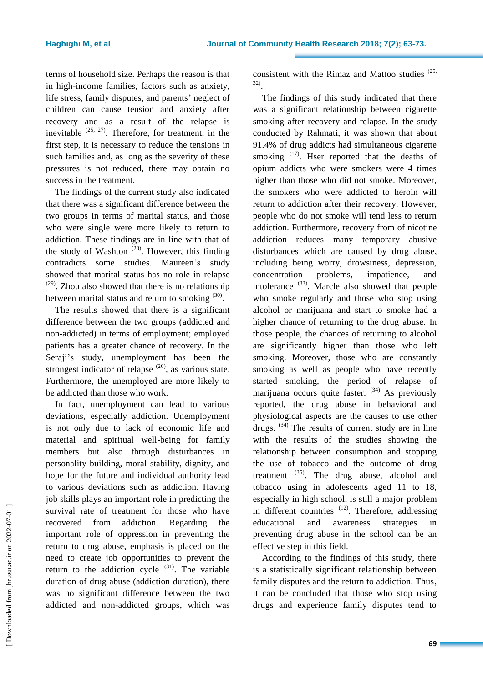terms of household size. Perhaps the reason is that in high-income families, factors such as anxiety, life stress, family disputes, and parents' neglect of children can cause tension and anxiety after recovery and as a result of the relapse is inevitable  $(25, 27)$ . Therefore, for treatment, in the first step, it is necessary to reduce the tensions in such families and, as long as the severity of these pressures is not reduced, there may obtain no success in the treatment.

The findings of the current study also indicated that there was a significant difference between the two groups in terms of marital status, and those who were single were more likely to return to addiction. These findings are in line with that of the study of Washton  $(28)$ . However, this finding contradicts some studies. Maureen's study showed that marital status has no role in relapse  $(29)$ . Zhou also showed that there is no relationship between marital status and return to smoking  $(30)$ .

The results showed that there is a significant difference between the two groups (addicted and non-addicted) in terms of employment; employed patients has a greater chance of recovery. In the Seraji's study, unemployment has been the strongest indicator of relapse  $(26)$ , as various state. Furthermore, the unemployed are more likely to be addicted than those who work.

In fact, unemployment can lead to various deviations, especially addiction. Unemployment is not only due to lack of economic life and material and spiritual well-being for family members but also through disturbances in personality building, moral stability, dignity, and hope for the future and individual authority lead to various deviations such as addiction. Having job skills plays an important role in predicting the survival rate of treatment for those who have recovered from addiction. Regarding the important role of oppression in preventing the return to drug abuse, emphasis is placed on the need to create job opportunities to prevent the return to the addiction cycle  $(31)$ . The variable duration of drug abuse (addiction duration), there was no significant difference between the two addicted and non-addicted groups, which was

consistent with the Rimaz and Mattoo studies  $(25, 25)$ 32) .

The findings of this study indicated that there was a significant relationship between cigarette smoking after recovery and relapse. In the study conducted by Rahmati, it was shown that about 91.4% of drug addicts had simultaneous cigarette smoking  $(17)$ . Hser reported that the deaths of opium addicts who were smokers were 4 times higher than those who did not smoke. Moreover, the smokers who were addicted to heroin will return to addiction after their recovery. However, people who do not smoke will tend less to return addiction. Furthermore, recovery from of nicotine addiction reduces many temporary abusive disturbances which are caused by drug abuse, including being worry, drowsiness, depression, concentration problems, impatience, and intolerance  $(33)$ . Marcle also showed that people who smoke regularly and those who stop using alcohol or marijuana and start to smoke had a higher chance of returning to the drug abuse. In those people, the chances of returning to alcohol are significantly higher than those who left smoking. Moreover, those who are constantly smoking as well as people who have recently started smoking, the period of relapse of marijuana occurs quite faster.  $(34)$  As previously reported, the drug abuse in behavioral and physiological aspects are the causes to use other drugs.  $(34)$  The results of current study are in line with the results of the studies showing the relationship between consumption and stopping the use of tobacco and the outcome of drug treatment  $^{(35)}$ . The drug abuse, alcohol and tobacco using in adolescents aged 11 to 18, especially in high school, is still a major problem in different countries  $(12)$ . Therefore, addressing educational and awareness strategies in preventing drug abuse in the school can be an effective step in this field.

According to the findings of this study, there is a statistically significant relationship between family disputes and the return to addiction. Thus, it can be concluded that those who stop using drugs and experience family disputes tend to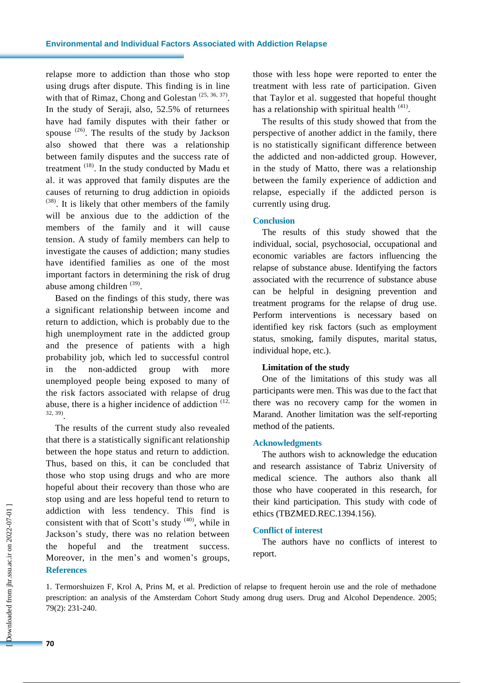relapse more to addiction than those who stop using drugs after dispute. This finding is in line with that of Rimaz, Chong and Golestan  $(25, 36, 37)$ . In the study of Seraji, also, 52.5% of returnees have had family disputes with their father or spouse  $(26)$ . The results of the study by Jackson also showed that there was a relationship between family disputes and the success rate of treatment  $(18)$ . In the study conducted by Madu et al. it was approved that family disputes are the causes of returning to drug addiction in opioids (38) . It is likely that other members of the family will be anxious due to the addiction of the members of the family and it will cause tension. A study of family members can help to investigate the causes of addiction; many studies have identified families as one of the most important factors in determining the risk of drug abuse among children<sup>(39)</sup>.

Based on the findings of this study, there was a significant relationship between income and return to addiction, which is probably due to the high unemployment rate in the addicted group and the presence of patients with a high probability job, which led to successful control in the non-addicted group with more unemployed people being exposed to many of the risk factors associated with relapse of drug abuse, there is a higher incidence of addiction  $(12, 12)$ 32, 39) .

The results of the current study also revealed that there is a statistically significant relationship between the hope status and return to addiction. Thus, based on this, it can be concluded that those who stop using drugs and who are more hopeful about their recovery than those who are stop using and are less hopeful tend to return to addiction with less tendency. This find is consistent with that of Scott's study  $(40)$ , while in Jackson's study, there was no relation between the hopeful and the treatment success. Moreover, in the men's and women's groups, **References**

those with less hope were reported to enter the treatment with less rate of participation. Given that Taylor et al. suggested that hopeful thought has a relationship with spiritual health <sup>(41)</sup>.

The results of this study showed that from the perspective of another addict in the family, there is no statistically significant difference between the addicted and non-addicted group. However, in the study of Matto, there was a relationship between the family experience of addiction and relapse, especially if the addicted person is currently using drug.

## **Conclusion**

The results of this study showed that the individual, social, psychosocial, occupational and economic variables are factors influencing the relapse of substance abuse. Identifying the factors associated with the recurrence of substance abuse can be helpful in designing prevention and treatment programs for the relapse of drug use. Perform interventions is necessary based on identified key risk factors (such as employment status, smoking, family disputes, marital status, individual hope, etc.).

## **Limitation of the study**

One of the limitations of this study was all participants were men. This was due to the fact that there was no recovery camp for the women in Marand. Another limitation was the self-reporting method of the patients.

## **Acknowledgments**

The authors wish to acknowledge the education and research assistance of Tabriz University of medical science. The authors also thank all those who have cooperated in this research, for their kind participation. This study with code of ethics (TBZMED.REC.1394.156).

## **Conflict of interest**

The authors have no conflicts of interest to report.

1. Termorshuizen F, Krol A, Prins M, et al. Prediction of relapse to frequent heroin use and the role of methadone prescription: an analysis of the Amsterdam Cohort Study among drug users. Drug and Alcohol Dependence. 2005; 79(2): 231-240.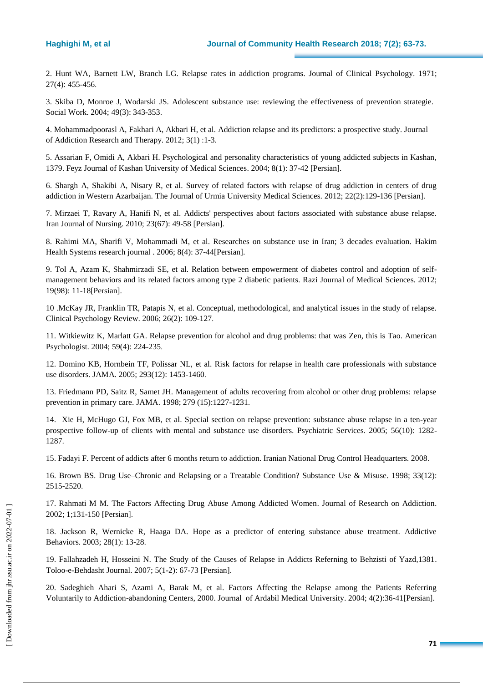2. Hunt WA, Barnett LW, Branch LG. Relapse rates in addiction programs. Journal of Clinical Psychology. 1971; 27(4): 455-456.

3. Skiba D, Monroe J, Wodarski JS. Adolescent substance use: reviewing the effectiveness of prevention strategie. Social Work. 2004; 49(3): 343-353.

4. Mohammadpoorasl A, Fakhari A, Akbari H, et al. Addiction relapse and its predictors: a prospective study. Journal of Addiction Research and Therapy. 2012; 3(1) :1-3.

5. Assarian F, Omidi A, Akbari H. Psychological and personality characteristics of young addicted subjects in Kashan, 1379. Feyz Journal of Kashan University of Medical Sciences. 2004; 8(1): 37-42 [Persian].

6. Shargh A, Shakibi A, Nisary R, et al. Survey of related factors with relapse of drug addiction in centers of drug addiction in Western Azarbaijan. The Journal of Urmia University Medical Sciences. 2012; 22(2):129-136 [Persian].

7. Mirzaei T, Ravary A, Hanifi N, et al. Addicts' perspectives about factors associated with substance abuse relapse. Iran Journal of Nursing. 2010; 23(67): 49-58 [Persian].

8. Rahimi MA, Sharifi V, Mohammadi M, et al. Researches on substance use in Iran; 3 decades evaluation. [Hakim](http://www.magiran.com/magtoc.asp?mgID=1309&Number=32&Appendix=0&lanf=En)  [Health Systems research journal .](http://www.magiran.com/magtoc.asp?mgID=1309&Number=32&Appendix=0&lanf=En) 2006; 8(4): 37-44[Persian].

9. Tol A, Azam K, Shahmirzadi SE, et al. Relation between empowerment of diabetes control and adoption of selfmanagement behaviors and its related factors among type 2 diabetic patients. Razi Journal of Medical Sciences. 2012; 19(98): 11-18[Persian].

10 .McKay JR, Franklin TR, Patapis N, et al. Conceptual, methodological, and analytical issues in the study of relapse. Clinical Psychology Review. 2006; 26(2): 109-127.

11. Witkiewitz K, Marlatt GA. Relapse prevention for alcohol and drug problems: that was Zen, this is Tao. American Psychologist. 2004; 59(4): 224-235.

12. Domino KB, Hornbein TF, Polissar NL, et al. Risk factors for relapse in health care professionals with substance use disorders. JAMA. 2005; 293(12): 1453-1460.

13. Friedmann PD, Saitz R, Samet JH. Management of adults recovering from alcohol or other drug problems: relapse prevention in primary care. JAMA. 1998; 279 (15):1227-1231.

14. Xie H, McHugo GJ, Fox MB, et al. Special section on relapse prevention: substance abuse relapse in a ten-year prospective follow-up of clients with mental and substance use disorders. Psychiatric Services. 2005; 56(10): 1282- 1287.

15. Fadayi F. Percent of addicts after 6 months return to addiction. Iranian National Drug Control Headquarters. 2008.

16. Brown BS. Drug Use–Chronic and Relapsing or a Treatable Condition? Substance Use & Misuse. 1998; 33(12): 2515-2520.

17. Rahmati M M. The Factors Affecting Drug Abuse Among Addicted Women. Journal of Research on Addiction. 2002; 1;131-150 [Persian].

18. Jackson R, Wernicke R, Haaga DA. Hope as a predictor of entering substance abuse treatment. Addictive Behaviors. 2003; 28(1): 13-28.

19. Fallahzadeh H, Hosseini N. The Study of the Causes of Relapse in Addicts Referning to Behzisti of Yazd,1381. Toloo-e-Behdasht Journal. 2007; 5(1-2): 67-73 [Persian].

20. Sadeghieh Ahari S, Azami A, Barak M, et al. Factors Affecting the Relapse among the Patients Referring Voluntarily to Addiction-abandoning Centers, 2000. Journal of Ardabil Medical University. 2004; 4(2):36-41[Persian].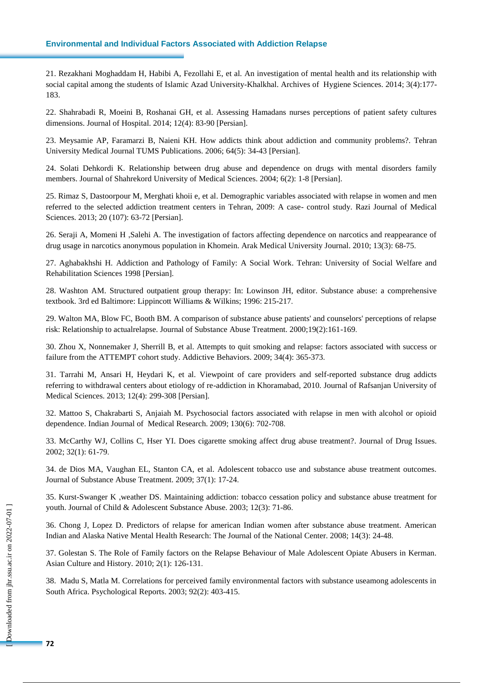## **Environmental and Individual Factors Associated with Addiction Relapse**

21. Rezakhani Moghaddam H, Habibi A, Fezollahi E, et al. An investigation of mental health and its relationship with social capital among the students of Islamic Azad University-Khalkhal. Archives of Hygiene Sciences. 2014; 3(4):177- 183.

22. Shahrabadi R, Moeini B, Roshanai GH, et al. Assessing Hamadans nurses perceptions of patient safety cultures dimensions. Journal of Hospital. 2014; 12(4): 83-90 [Persian].

23. Meysamie AP, Faramarzi B, Naieni KH. How addicts think about addiction and community problems?. Tehran University Medical Journal TUMS Publications. 2006; 64(5): 34-43 [Persian].

24. Solati Dehkordi K. Relationship between drug abuse and dependence on drugs with mental disorders family members. Journal of Shahrekord University of Medical Sciences. 2004; 6(2): 1-8 [Persian].

25. Rimaz S, Dastoorpour M, Merghati khoii e, et al. Demographic variables associated with relapse in women and men referred to the selected addiction treatment centers in Tehran, 2009: A case- control study. Razi Journal of Medical Sciences. 2013; 20 (107): 63-72 [Persian].

26. Seraji A, Momeni H ,Salehi A. The investigation of factors affecting dependence on narcotics and reappearance of drug usage in narcotics anonymous population in Khomein. Arak Medical University Journal. 2010; 13(3): 68-75.

27. Aghabakhshi H. Addiction and Pathology of Family: A Social Work. Tehran: University of Social Welfare and Rehabilitation Sciences 1998 [Persian].

28. Washton AM. Structured outpatient group therapy: In: Lowinson JH, editor. Substance abuse: a comprehensive textbook. 3rd ed Baltimore: Lippincott Williams & Wilkins; 1996: 215-217.

29. Walton MA, Blow FC, Booth BM. A comparison of substance abuse patients' and counselors' perceptions of relapse risk: Relationship to actualrelapse. Journal of Substance Abuse Treatment. 2000;19(2):161-169.

30. Zhou X, Nonnemaker J, Sherrill B, et al. Attempts to quit smoking and relapse: factors associated with success or failure from the ATTEMPT cohort study. Addictive Behaviors. 2009; 34(4): 365-373.

31. Tarrahi M, Ansari H, Heydari K, et al. Viewpoint of care providers and self-reported substance drug addicts referring to withdrawal centers about etiology of re-addiction in Khoramabad, 2010. Journal of Rafsanjan University of Medical Sciences. 2013; 12(4): 299-308 [Persian].

32. Mattoo S, Chakrabarti S, Anjaiah M. Psychosocial factors associated with relapse in men with alcohol or opioid dependence. [Indian Journal of Medical](https://www.ncbi.nlm.nih.gov/pubmed/20090130) Research. 2009; 130(6): 702-708.

33. McCarthy WJ, Collins C, Hser YI. Does cigarette smoking affect drug abuse treatment?. Journal of Drug Issues. 2002; 32(1): 61-79.

34. de Dios MA, Vaughan EL, Stanton CA, et al. Adolescent tobacco use and substance abuse treatment outcomes. Journal of Substance Abuse Treatment. 2009; 37(1): 17-24.

35. Kurst-Swanger K ,weather DS. Maintaining addiction: tobacco cessation policy and substance abuse treatment for youth. Journal of Child & Adolescent Substance Abuse. 2003; 12(3): 71-86.

36. Chong J, Lopez D. Predictors of relapse for american Indian women after substance abuse treatment. American Indian and Alaska Native Mental Health Research: The Journal of the National Center. 2008; 14(3): 24-48.

37. Golestan S. The Role of Family factors on the Relapse Behaviour of Male Adolescent Opiate Abusers in Kerman. Asian Culture and History. 2010; 2(1): 126-131.

38. Madu S, Matla M. Correlations for perceived family environmental factors with substance useamong adolescents in South Africa. Psychological Reports. 2003; 92(2): 403-415.